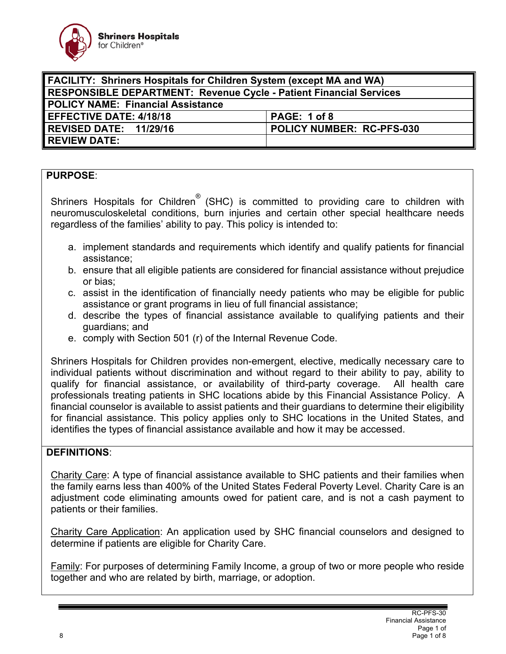

| <b>FACILITY: Shriners Hospitals for Children System (except MA and WA)</b> |                           |
|----------------------------------------------------------------------------|---------------------------|
| <b>RESPONSIBLE DEPARTMENT: Revenue Cycle - Patient Financial Services</b>  |                           |
| POLICY NAME: Financial Assistance                                          |                           |
| <b>EFFECTIVE DATE: 4/18/18</b>                                             | PAGE: 1 of 8              |
| REVISED DATE: 11/29/16                                                     | POLICY NUMBER: RC-PFS-030 |
| <b>REVIEW DATE:</b>                                                        |                           |

## **PURPOSE**:

Shriners Hospitals for Children<sup>®</sup> (SHC) is committed to providing care to children with neuromusculoskeletal conditions, burn injuries and certain other special healthcare needs regardless of the families' ability to pay. This policy is intended to:

- a. implement standards and requirements which identify and qualify patients for financial assistance;
- b. ensure that all eligible patients are considered for financial assistance without prejudice or bias;
- c. assist in the identification of financially needy patients who may be eligible for public assistance or grant programs in lieu of full financial assistance;
- d. describe the types of financial assistance available to qualifying patients and their guardians; and
- e. comply with Section 501 (r) of the Internal Revenue Code.

Shriners Hospitals for Children provides non-emergent, elective, medically necessary care to individual patients without discrimination and without regard to their ability to pay, ability to qualify for financial assistance, or availability of third-party coverage. All health care professionals treating patients in SHC locations abide by this Financial Assistance Policy. A financial counselor is available to assist patients and their guardians to determine their eligibility for financial assistance. This policy applies only to SHC locations in the United States, and identifies the types of financial assistance available and how it may be accessed.

## **DEFINITIONS**:

Charity Care: A type of financial assistance available to SHC patients and their families when the family earns less than 400% of the United States Federal Poverty Level. Charity Care is an adjustment code eliminating amounts owed for patient care, and is not a cash payment to patients or their families.

Charity Care Application: An application used by SHC financial counselors and designed to determine if patients are eligible for Charity Care.

Family: For purposes of determining Family Income, a group of two or more people who reside together and who are related by birth, marriage, or adoption.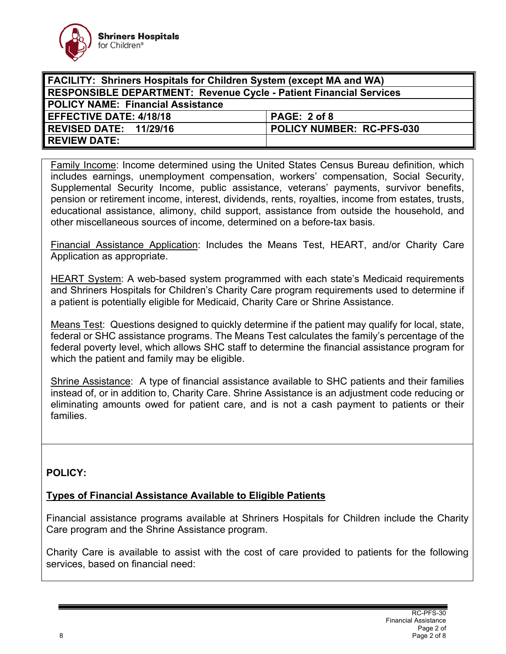

| <b>FACILITY: Shriners Hospitals for Children System (except MA and WA)</b> |                           |
|----------------------------------------------------------------------------|---------------------------|
| <b>RESPONSIBLE DEPARTMENT: Revenue Cycle - Patient Financial Services</b>  |                           |
| <b>POLICY NAME: Financial Assistance</b>                                   |                           |
| <b>EFFECTIVE DATE: 4/18/18</b>                                             | PAGE: 2 of 8              |
| REVISED DATE: 11/29/16                                                     | POLICY NUMBER: RC-PFS-030 |
| <b>REVIEW DATE:</b>                                                        |                           |

Family Income: Income determined using the United States Census Bureau definition, which includes earnings, unemployment compensation, workers' compensation, Social Security, Supplemental Security Income, public assistance, veterans' payments, survivor benefits, pension or retirement income, interest, dividends, rents, royalties, income from estates, trusts, educational assistance, alimony, child support, assistance from outside the household, and other miscellaneous sources of income, determined on a before-tax basis.

Financial Assistance Application: Includes the Means Test, HEART, and/or Charity Care Application as appropriate.

HEART System: A web-based system programmed with each state's Medicaid requirements and Shriners Hospitals for Children's Charity Care program requirements used to determine if a patient is potentially eligible for Medicaid, Charity Care or Shrine Assistance.

Means Test: Questions designed to quickly determine if the patient may qualify for local, state, federal or SHC assistance programs. The Means Test calculates the family's percentage of the federal poverty level, which allows SHC staff to determine the financial assistance program for which the patient and family may be eligible.

Shrine Assistance: A type of financial assistance available to SHC patients and their families instead of, or in addition to, Charity Care. Shrine Assistance is an adjustment code reducing or eliminating amounts owed for patient care, and is not a cash payment to patients or their families.

## **POLICY:**

## **Types of Financial Assistance Available to Eligible Patients**

Financial assistance programs available at Shriners Hospitals for Children include the Charity Care program and the Shrine Assistance program.

Charity Care is available to assist with the cost of care provided to patients for the following services, based on financial need: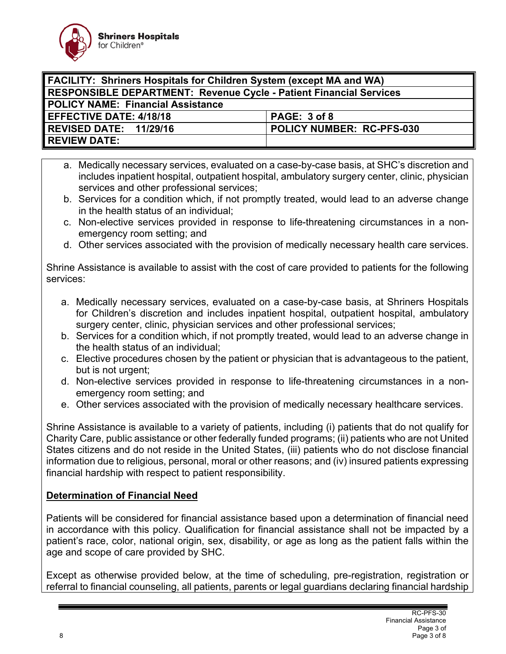

| <b>FACILITY: Shriners Hospitals for Children System (except MA and WA)</b> |                           |
|----------------------------------------------------------------------------|---------------------------|
| RESPONSIBLE DEPARTMENT: Revenue Cycle - Patient Financial Services         |                           |
| <b>POLICY NAME: Financial Assistance</b>                                   |                           |
| <b>LEFFECTIVE DATE: 4/18/18</b>                                            | PAGE: 3 of 8              |
| REVISED DATE: 11/29/16                                                     | POLICY NUMBER: RC-PFS-030 |
| <b>REVIEW DATE:</b>                                                        |                           |

- a. Medically necessary services, evaluated on a case-by-case basis, at SHC's discretion and includes inpatient hospital, outpatient hospital, ambulatory surgery center, clinic, physician services and other professional services;
- b. Services for a condition which, if not promptly treated, would lead to an adverse change in the health status of an individual;
- c. Non-elective services provided in response to life-threatening circumstances in a nonemergency room setting; and
- d. Other services associated with the provision of medically necessary health care services.

Shrine Assistance is available to assist with the cost of care provided to patients for the following services:

- a. Medically necessary services, evaluated on a case-by-case basis, at Shriners Hospitals for Children's discretion and includes inpatient hospital, outpatient hospital, ambulatory surgery center, clinic, physician services and other professional services;
- b. Services for a condition which, if not promptly treated, would lead to an adverse change in the health status of an individual;
- c. Elective procedures chosen by the patient or physician that is advantageous to the patient, but is not urgent;
- d. Non-elective services provided in response to life-threatening circumstances in a nonemergency room setting; and
- e. Other services associated with the provision of medically necessary healthcare services.

Shrine Assistance is available to a variety of patients, including (i) patients that do not qualify for Charity Care, public assistance or other federally funded programs; (ii) patients who are not United States citizens and do not reside in the United States, (iii) patients who do not disclose financial information due to religious, personal, moral or other reasons; and (iv) insured patients expressing financial hardship with respect to patient responsibility.

## **Determination of Financial Need**

Patients will be considered for financial assistance based upon a determination of financial need in accordance with this policy. Qualification for financial assistance shall not be impacted by a patient's race, color, national origin, sex, disability, or age as long as the patient falls within the age and scope of care provided by SHC.

Except as otherwise provided below, at the time of scheduling, pre-registration, registration or referral to financial counseling, all patients, parents or legal guardians declaring financial hardship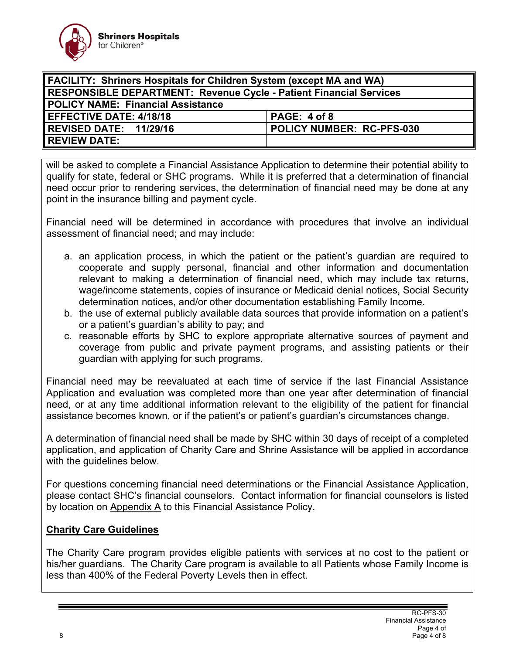

| <b>FACILITY: Shriners Hospitals for Children System (except MA and WA)</b> |                           |
|----------------------------------------------------------------------------|---------------------------|
| <b>RESPONSIBLE DEPARTMENT: Revenue Cycle - Patient Financial Services</b>  |                           |
| <b>POLICY NAME: Financial Assistance</b>                                   |                           |
| <b>LEFFECTIVE DATE: 4/18/18</b>                                            | PAGE: 4 of 8              |
| REVISED DATE: 11/29/16                                                     | POLICY NUMBER: RC-PFS-030 |
| <b>REVIEW DATE:</b>                                                        |                           |

will be asked to complete a Financial Assistance Application to determine their potential ability to qualify for state, federal or SHC programs. While it is preferred that a determination of financial need occur prior to rendering services, the determination of financial need may be done at any point in the insurance billing and payment cycle.

Financial need will be determined in accordance with procedures that involve an individual assessment of financial need; and may include:

- a. an application process, in which the patient or the patient's guardian are required to cooperate and supply personal, financial and other information and documentation relevant to making a determination of financial need, which may include tax returns, wage/income statements, copies of insurance or Medicaid denial notices, Social Security determination notices, and/or other documentation establishing Family Income.
- b. the use of external publicly available data sources that provide information on a patient's or a patient's guardian's ability to pay; and
- c. reasonable efforts by SHC to explore appropriate alternative sources of payment and coverage from public and private payment programs, and assisting patients or their guardian with applying for such programs.

Financial need may be reevaluated at each time of service if the last Financial Assistance Application and evaluation was completed more than one year after determination of financial need, or at any time additional information relevant to the eligibility of the patient for financial assistance becomes known, or if the patient's or patient's guardian's circumstances change.

A determination of financial need shall be made by SHC within 30 days of receipt of a completed application, and application of Charity Care and Shrine Assistance will be applied in accordance with the guidelines below.

For questions concerning financial need determinations or the Financial Assistance Application, please contact SHC's financial counselors. Contact information for financial counselors is listed by location on Appendix A to this Financial Assistance Policy.

## **Charity Care Guidelines**

The Charity Care program provides eligible patients with services at no cost to the patient or his/her guardians. The Charity Care program is available to all Patients whose Family Income is less than 400% of the Federal Poverty Levels then in effect.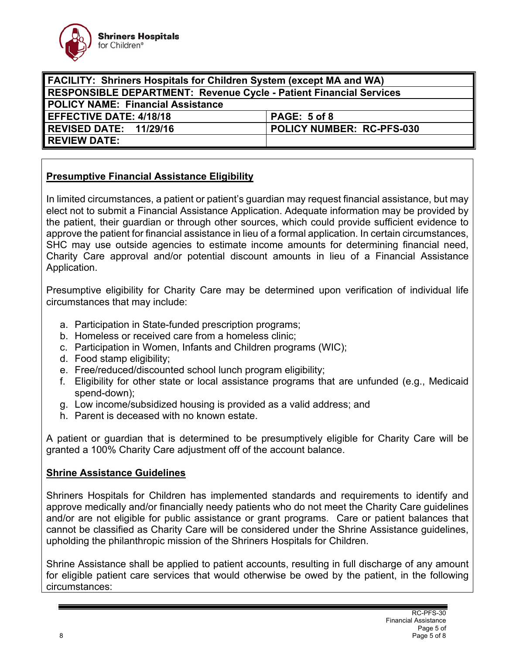

| FACILITY: Shriners Hospitals for Children System (except MA and WA)       |                           |
|---------------------------------------------------------------------------|---------------------------|
| <b>RESPONSIBLE DEPARTMENT: Revenue Cycle - Patient Financial Services</b> |                           |
| POLICY NAME: Financial Assistance                                         |                           |
| <b>EFFECTIVE DATE: 4/18/18</b>                                            | PAGE: 5 of 8              |
| REVISED DATE: 11/29/16                                                    | POLICY NUMBER: RC-PFS-030 |
| <b>REVIEW DATE:</b>                                                       |                           |

## **Presumptive Financial Assistance Eligibility**

In limited circumstances, a patient or patient's guardian may request financial assistance, but may elect not to submit a Financial Assistance Application. Adequate information may be provided by the patient, their guardian or through other sources, which could provide sufficient evidence to approve the patient for financial assistance in lieu of a formal application. In certain circumstances, SHC may use outside agencies to estimate income amounts for determining financial need, Charity Care approval and/or potential discount amounts in lieu of a Financial Assistance Application.

Presumptive eligibility for Charity Care may be determined upon verification of individual life circumstances that may include:

- a. Participation in State-funded prescription programs;
- b. Homeless or received care from a homeless clinic;
- c. Participation in Women, Infants and Children programs (WIC);
- d. Food stamp eligibility;
- e. Free/reduced/discounted school lunch program eligibility;
- f. Eligibility for other state or local assistance programs that are unfunded (e.g., Medicaid spend-down);
- g. Low income/subsidized housing is provided as a valid address; and
- h. Parent is deceased with no known estate.

A patient or guardian that is determined to be presumptively eligible for Charity Care will be granted a 100% Charity Care adjustment off of the account balance.

## **Shrine Assistance Guidelines**

Shriners Hospitals for Children has implemented standards and requirements to identify and approve medically and/or financially needy patients who do not meet the Charity Care guidelines and/or are not eligible for public assistance or grant programs. Care or patient balances that cannot be classified as Charity Care will be considered under the Shrine Assistance guidelines, upholding the philanthropic mission of the Shriners Hospitals for Children.

Shrine Assistance shall be applied to patient accounts, resulting in full discharge of any amount for eligible patient care services that would otherwise be owed by the patient, in the following circumstances: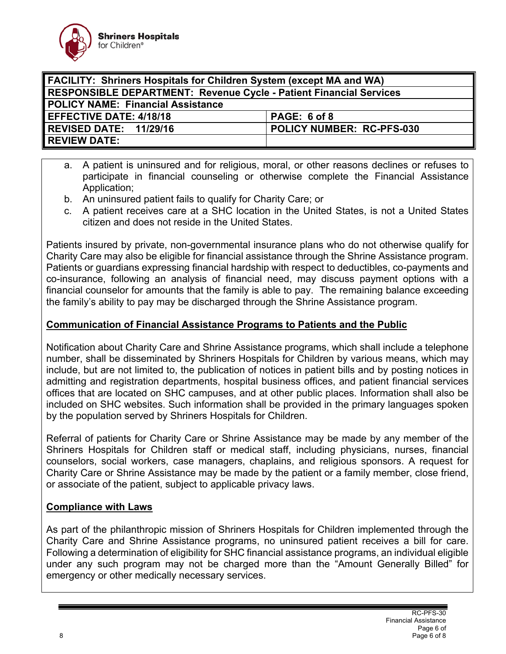

| <b>FACILITY: Shriners Hospitals for Children System (except MA and WA)</b> |                           |
|----------------------------------------------------------------------------|---------------------------|
| RESPONSIBLE DEPARTMENT: Revenue Cycle - Patient Financial Services         |                           |
| <b>POLICY NAME: Financial Assistance</b>                                   |                           |
| <b>LEFFECTIVE DATE: 4/18/18</b>                                            | PAGE: 6 of 8              |
| REVISED DATE: 11/29/16                                                     | POLICY NUMBER: RC-PFS-030 |
| <b>REVIEW DATE:</b>                                                        |                           |

- a. A patient is uninsured and for religious, moral, or other reasons declines or refuses to participate in financial counseling or otherwise complete the Financial Assistance Application;
- b. An uninsured patient fails to qualify for Charity Care; or
- c. A patient receives care at a SHC location in the United States, is not a United States citizen and does not reside in the United States.

Patients insured by private, non-governmental insurance plans who do not otherwise qualify for Charity Care may also be eligible for financial assistance through the Shrine Assistance program. Patients or guardians expressing financial hardship with respect to deductibles, co-payments and co-insurance, following an analysis of financial need, may discuss payment options with a financial counselor for amounts that the family is able to pay. The remaining balance exceeding the family's ability to pay may be discharged through the Shrine Assistance program.

## **Communication of Financial Assistance Programs to Patients and the Public**

Notification about Charity Care and Shrine Assistance programs, which shall include a telephone number, shall be disseminated by Shriners Hospitals for Children by various means, which may include, but are not limited to, the publication of notices in patient bills and by posting notices in admitting and registration departments, hospital business offices, and patient financial services offices that are located on SHC campuses, and at other public places. Information shall also be included on SHC websites. Such information shall be provided in the primary languages spoken by the population served by Shriners Hospitals for Children.

Referral of patients for Charity Care or Shrine Assistance may be made by any member of the Shriners Hospitals for Children staff or medical staff, including physicians, nurses, financial counselors, social workers, case managers, chaplains, and religious sponsors. A request for Charity Care or Shrine Assistance may be made by the patient or a family member, close friend, or associate of the patient, subject to applicable privacy laws.

## **Compliance with Laws**

As part of the philanthropic mission of Shriners Hospitals for Children implemented through the Charity Care and Shrine Assistance programs, no uninsured patient receives a bill for care. Following a determination of eligibility for SHC financial assistance programs, an individual eligible under any such program may not be charged more than the "Amount Generally Billed" for emergency or other medically necessary services.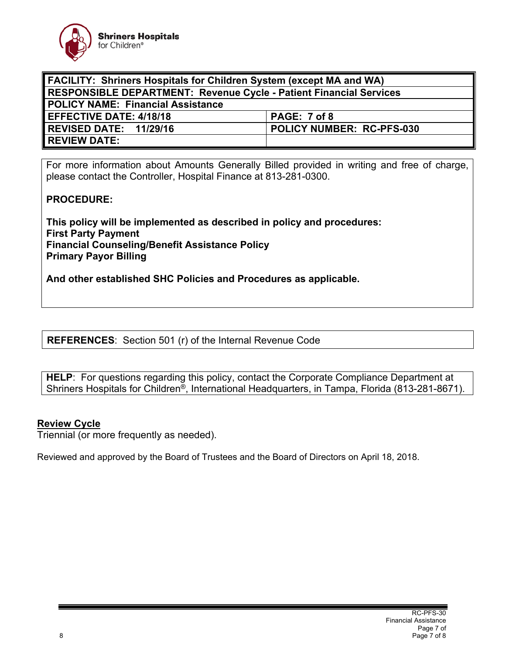

| <b>FACILITY: Shriners Hospitals for Children System (except MA and WA)</b> |                                  |
|----------------------------------------------------------------------------|----------------------------------|
| <b>RESPONSIBLE DEPARTMENT: Revenue Cycle - Patient Financial Services</b>  |                                  |
| <b>POLICY NAME: Financial Assistance</b>                                   |                                  |
| <b>EFFECTIVE DATE: 4/18/18</b>                                             | PAGE: 7 of 8                     |
| REVISED DATE: 11/29/16                                                     | <b>POLICY NUMBER: RC-PFS-030</b> |
| <b>REVIEW DATE:</b>                                                        |                                  |

For more information about Amounts Generally Billed provided in writing and free of charge, please contact the Controller, Hospital Finance at 813-281-0300.

## **PROCEDURE:**

**This policy will be implemented as described in policy and procedures: First Party Payment Financial Counseling/Benefit Assistance Policy Primary Payor Billing** 

**And other established SHC Policies and Procedures as applicable.** 

**REFERENCES**: Section 501 (r) of the Internal Revenue Code

**HELP**: For questions regarding this policy, contact the Corporate Compliance Department at Shriners Hospitals for Children<sup>®</sup>, International Headquarters, in Tampa, Florida (813-281-8671).

#### **Review Cycle**

Triennial (or more frequently as needed).

Reviewed and approved by the Board of Trustees and the Board of Directors on April 18, 2018.